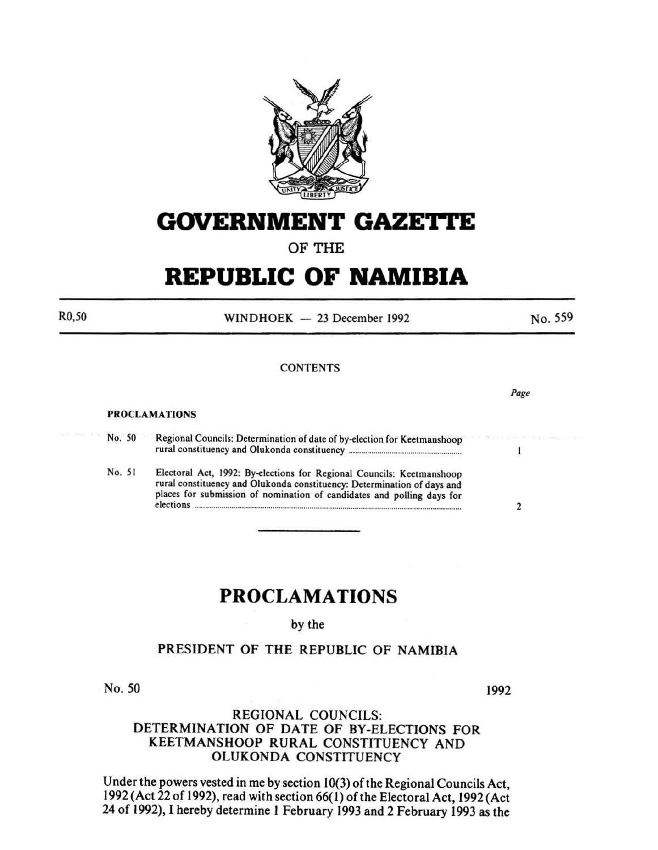

# **GOVERNMENT GAZE'I'TE**

## OF THE

# **REPUBLIC OF NAMIBIA**

 $WINDHOEK - 23 December 1992$ 

#### **CONTENTS**

#### PROCLAMATIONS

No. 50 Regional Councils: Determination of date of by-election for Keetmanshoop rural constituency and Olukonda constituency ...................................................... .

No. 51 Electoral Act, 1992: By-elections for Regional Councils: Keetmanshoop rural constituency and Olukonda constituency: Determination of days and places for submission of nomination of candidates and polling days for elections .................................................................................................................................. 2

# **PROCLAMATIONS**

by the

### PRESIDENT OF THE REPUBLIC OF NAMIBIA

No. 50

1992

### REGIONAL COUNCILS: DETERMINATION OF DATE OF BY-ELECTIONS FOR KEETMANSHOOP RURAL CONSTITUENCY AND OLUKONDA CONSTITUENCY

Under the powers vested in me by section 10(3) of the Regional Councils Act, 1992 (Act 22 of 1992), read with section 66( l) of the Electoral Act, 1992 (Act 24 of 1992), I hereby determine I February 1993 and 2 February 1993 as the

R0,50

*Page* 

No. 559

 $\mathbf{1}$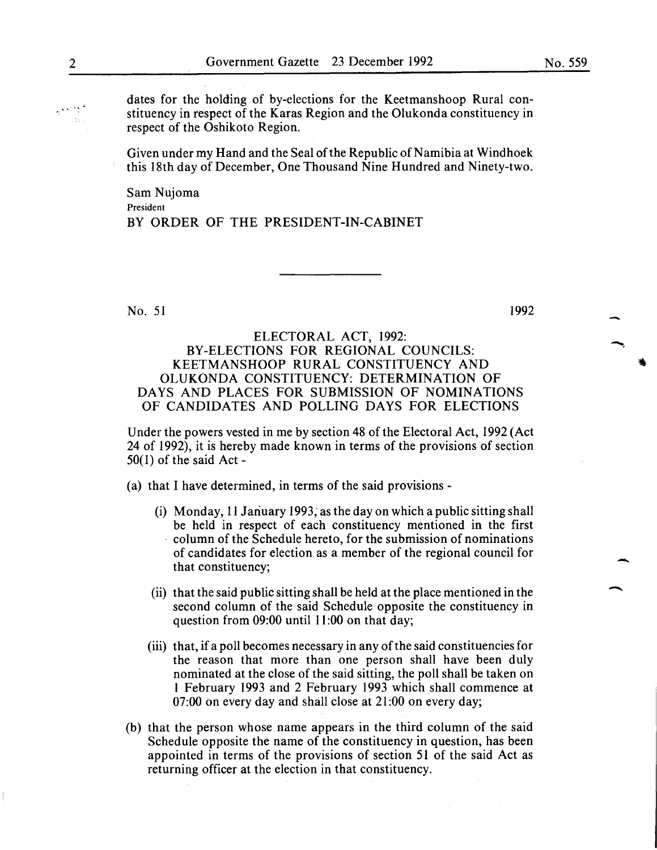dates for the holding of by-elections for the Keetmanshoop Rural constituency in respect of the Karas Region and the Olukonda constituency in respect of the Oshikoto Region.

Given under my Hand and the Seal of the Republic of Namibia at Windhoek this 18th day of December, One Thousand Nine Hundred and Ninety-two.

Sam Nujoma President BY ORDER OF THE PRESIDENT-IN-CABINET

No. 51 1992

ELECTORAL ACT, 1992: BY-ELECTIONS FOR REGIONAL COUNCILS: KEETMANSHOOP RURAL CONSTITUENCY AND OLUKONDA CONSTITUENCY: DETERMINATION OF DAYS AND PLACES FOR SUBMISSION OF NOMINATIONS OF CANDIDATES AND POLLING DAYS FOR ELECTIONS

Under the powers vested in me by section 48 of the Electoral Act, 1992 (Act 24 of 1992), it is hereby made known in terms of the provisions of section  $50(1)$  of the said Act -

(a) that I have determined, in terms of the said provisions-

- (i) Monday, II Jariuary 1993; as the day on which a public sitting shall be held in respect of each constituency mentioned in the first , column of the Schedule hereto, for the submission of nominations of candidates for election as a member of the regional council for that constituency;
- (ii) that the said public sitting shall be held at the place mentioned in the second column of the said Schedule opposite the constituency in question from 09:00 until 11:00 on that day;
- (iii) that, if a poll becomes necessary in any of the said constituencies for the reason that more than one person shall have been duly nominated at the close of the said sitting, the poll shall be taken on I February 1993 and 2 February 1993 which shall commence at 07:00 on every day and shall close at 21:00 on every day;
- (b) that the person whose name appears in the third column of the said Schedule opposite the name of the constituency in question, has been appointed in terms of the provisions of section 51 of the said Act as returning officer at the election in that constituency.

-

-

 $\overline{\phantom{a}}$